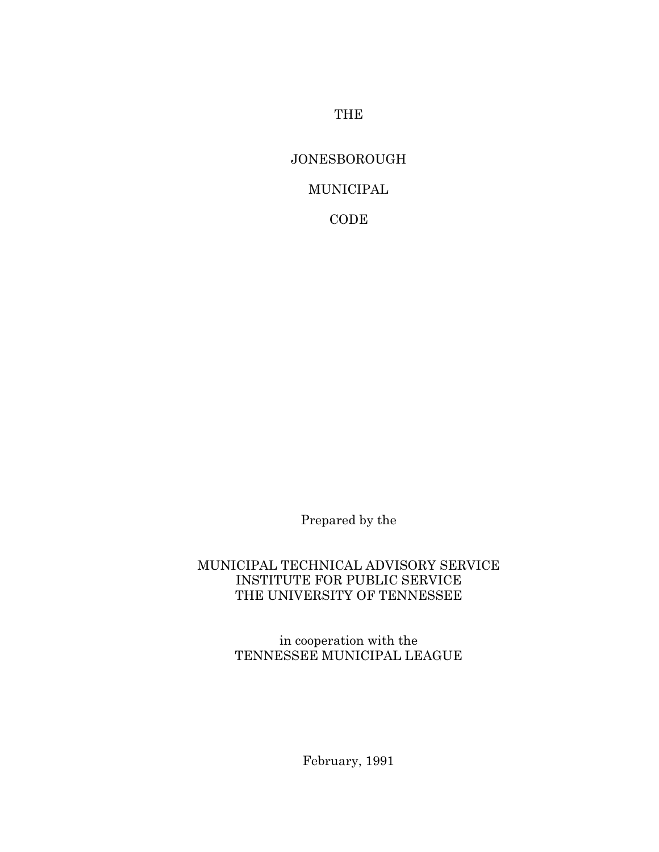THE

## JONESBOROUGH

## MUNICIPAL

CODE

Prepared by the

### MUNICIPAL TECHNICAL ADVISORY SERVICE INSTITUTE FOR PUBLIC SERVICE THE UNIVERSITY OF TENNESSEE

in cooperation with the TENNESSEE MUNICIPAL LEAGUE

February, 1991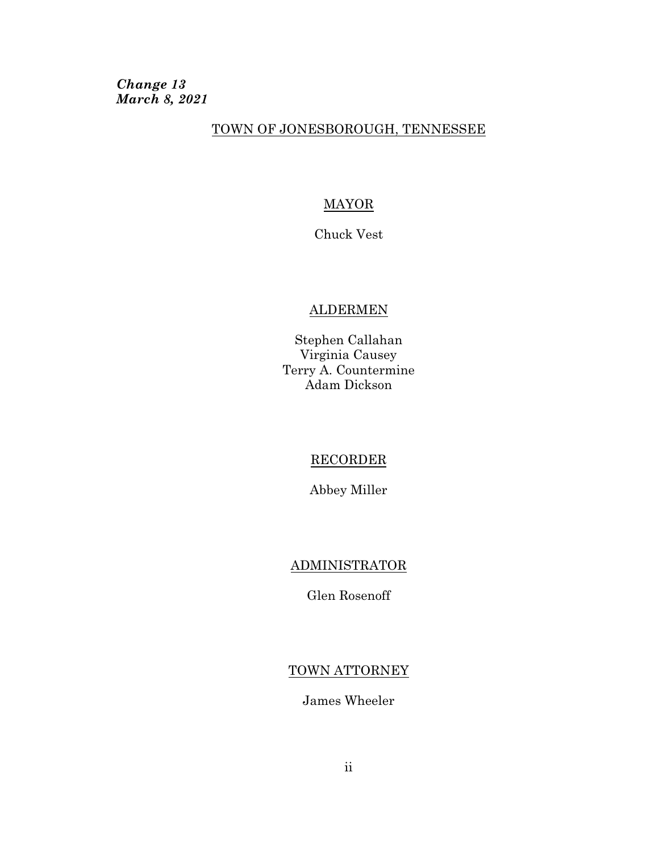*Change 13 March 8, 2021*

### TOWN OF JONESBOROUGH, TENNESSEE

## **MAYOR**

Chuck Vest

## ALDERMEN

Stephen Callahan Virginia Causey Terry A. Countermine Adam Dickson

### RECORDER

Abbey Miller

## ADMINISTRATOR

Glen Rosenoff

## TOWN ATTORNEY

James Wheeler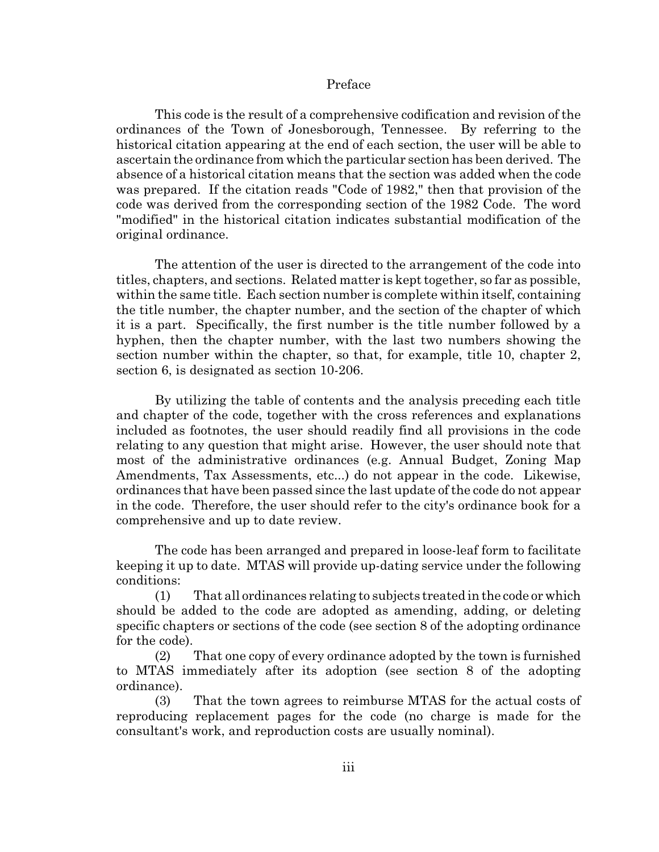#### Preface

This code is the result of a comprehensive codification and revision of the ordinances of the Town of Jonesborough, Tennessee. By referring to the historical citation appearing at the end of each section, the user will be able to ascertain the ordinance from which the particular section has been derived. The absence of a historical citation means that the section was added when the code was prepared. If the citation reads "Code of 1982," then that provision of the code was derived from the corresponding section of the 1982 Code. The word "modified" in the historical citation indicates substantial modification of the original ordinance.

The attention of the user is directed to the arrangement of the code into titles, chapters, and sections. Related matter is kept together, so far as possible, within the same title. Each section number is complete within itself, containing the title number, the chapter number, and the section of the chapter of which it is a part. Specifically, the first number is the title number followed by a hyphen, then the chapter number, with the last two numbers showing the section number within the chapter, so that, for example, title 10, chapter 2, section 6, is designated as section 10-206.

By utilizing the table of contents and the analysis preceding each title and chapter of the code, together with the cross references and explanations included as footnotes, the user should readily find all provisions in the code relating to any question that might arise. However, the user should note that most of the administrative ordinances (e.g. Annual Budget, Zoning Map Amendments, Tax Assessments, etc...) do not appear in the code. Likewise, ordinances that have been passed since the last update of the code do not appear in the code. Therefore, the user should refer to the city's ordinance book for a comprehensive and up to date review.

The code has been arranged and prepared in loose-leaf form to facilitate keeping it up to date. MTAS will provide up-dating service under the following conditions:

(1) That all ordinances relating to subjects treated in the code or which should be added to the code are adopted as amending, adding, or deleting specific chapters or sections of the code (see section 8 of the adopting ordinance for the code).

(2) That one copy of every ordinance adopted by the town is furnished to MTAS immediately after its adoption (see section 8 of the adopting ordinance).

(3) That the town agrees to reimburse MTAS for the actual costs of reproducing replacement pages for the code (no charge is made for the consultant's work, and reproduction costs are usually nominal).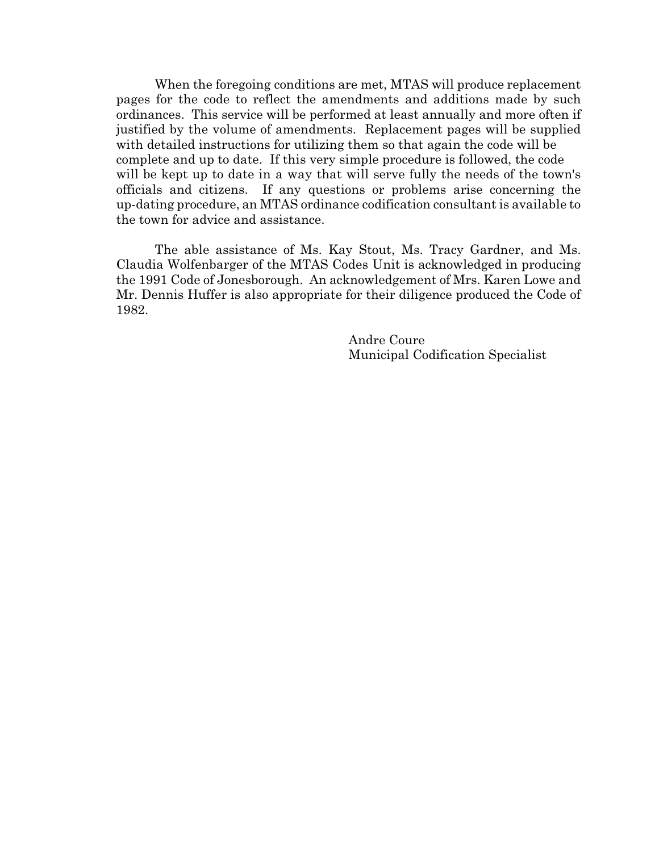When the foregoing conditions are met, MTAS will produce replacement pages for the code to reflect the amendments and additions made by such ordinances. This service will be performed at least annually and more often if justified by the volume of amendments. Replacement pages will be supplied with detailed instructions for utilizing them so that again the code will be complete and up to date. If this very simple procedure is followed, the code will be kept up to date in a way that will serve fully the needs of the town's officials and citizens. If any questions or problems arise concerning the up-dating procedure, an MTAS ordinance codification consultant is available to the town for advice and assistance.

The able assistance of Ms. Kay Stout, Ms. Tracy Gardner, and Ms. Claudia Wolfenbarger of the MTAS Codes Unit is acknowledged in producing the 1991 Code of Jonesborough. An acknowledgement of Mrs. Karen Lowe and Mr. Dennis Huffer is also appropriate for their diligence produced the Code of 1982.

> Andre Coure Municipal Codification Specialist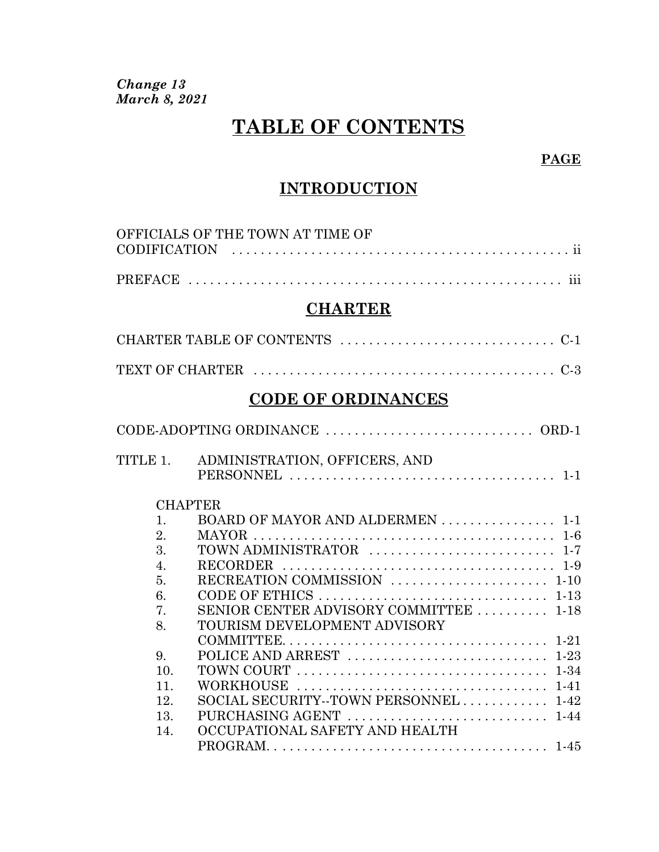*Change 13 March 8, 2021*

# **TABLE OF CONTENTS**

## **PAGE**

## **INTRODUCTION**

|                  | OFFICIALS OF THE TOWN AT TIME OF       |  |
|------------------|----------------------------------------|--|
|                  |                                        |  |
|                  | <b>CHARTER</b>                         |  |
|                  |                                        |  |
|                  |                                        |  |
|                  | <b>CODE OF ORDINANCES</b>              |  |
|                  |                                        |  |
| TITLE 1.         | ADMINISTRATION, OFFICERS, AND          |  |
|                  | <b>CHAPTER</b>                         |  |
| 1.               | BOARD OF MAYOR AND ALDERMEN 1-1        |  |
| 2.               |                                        |  |
| $\overline{3}$ . |                                        |  |
| $\overline{4}$ . |                                        |  |
| 5.               | RECREATION COMMISSION  1-10            |  |
| 6.               |                                        |  |
| 7.               | SENIOR CENTER ADVISORY COMMITTEE  1-18 |  |
| 8.               | TOURISM DEVELOPMENT ADVISORY           |  |
|                  |                                        |  |
| 9.               |                                        |  |
| 10.              |                                        |  |
| 11.              |                                        |  |
| 12.              | SOCIAL SECURITY--TOWN PERSONNEL 1-42   |  |
| 13.              |                                        |  |
| 14.              | OCCUPATIONAL SAFETY AND HEALTH         |  |
|                  |                                        |  |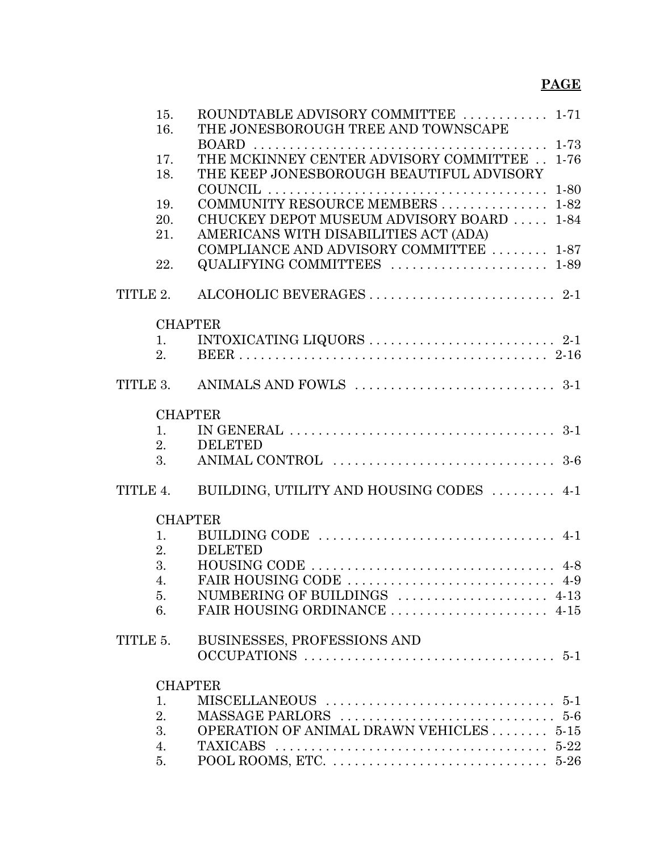| 15.                  | ROUNDTABLE ADVISORY COMMITTEE  1-71                                                           |          |
|----------------------|-----------------------------------------------------------------------------------------------|----------|
| 16.                  | THE JONESBOROUGH TREE AND TOWNSCAPE                                                           |          |
|                      | <b>BOARD</b>                                                                                  |          |
| 17.                  | THE MCKINNEY CENTER ADVISORY COMMITTEE  1-76                                                  |          |
| 18.                  | THE KEEP JONESBOROUGH BEAUTIFUL ADVISORY                                                      |          |
|                      |                                                                                               | $1 - 80$ |
| 19.                  | COMMUNITY RESOURCE MEMBERS  1-82                                                              |          |
| 20.                  | CHUCKEY DEPOT MUSEUM ADVISORY BOARD  1-84                                                     |          |
| 21.                  | AMERICANS WITH DISABILITIES ACT (ADA)                                                         |          |
|                      | COMPLIANCE AND ADVISORY COMMITTEE  1-87                                                       |          |
| 22.                  | QUALIFYING COMMITTEES  1-89                                                                   |          |
| TITLE 2.             |                                                                                               |          |
| <b>CHAPTER</b>       |                                                                                               |          |
| 1.                   | INTOXICATING LIQUORS $\ldots \ldots \ldots \ldots \ldots \ldots \ldots \ldots \ldots$ 2-1     |          |
| 2 <sub>1</sub>       |                                                                                               |          |
|                      |                                                                                               |          |
|                      |                                                                                               |          |
| <b>CHAPTER</b>       |                                                                                               |          |
| 1.                   | IN GENERAL $\ldots \ldots \ldots \ldots \ldots \ldots \ldots \ldots \ldots \ldots \ldots 3-1$ |          |
| 2.                   | <b>DELETED</b>                                                                                |          |
| 3.                   |                                                                                               |          |
| TITLE 4.             | BUILDING, UTILITY AND HOUSING CODES  4-1                                                      |          |
| <b>CHAPTER</b>       |                                                                                               |          |
| 1.                   |                                                                                               |          |
| 2.                   | <b>DELETED</b>                                                                                |          |
| 3.                   | HOUSING CODE $\dots\dots\dots\dots\dots\dots\dots\dots\dots\dots\dots$                        |          |
| $\overline{4}$ .     |                                                                                               |          |
| 5.                   | NUMBERING OF BUILDINGS  4-13                                                                  |          |
| 6.                   |                                                                                               |          |
| TITLE 5.             | BUSINESSES, PROFESSIONS AND                                                                   |          |
|                      |                                                                                               |          |
|                      |                                                                                               |          |
| <b>CHAPTER</b><br>1. |                                                                                               |          |
| 2.                   |                                                                                               |          |
| 3.                   | OPERATION OF ANIMAL DRAWN VEHICLES  5-15                                                      |          |
| 4.                   |                                                                                               |          |
| 5.                   |                                                                                               |          |
|                      |                                                                                               |          |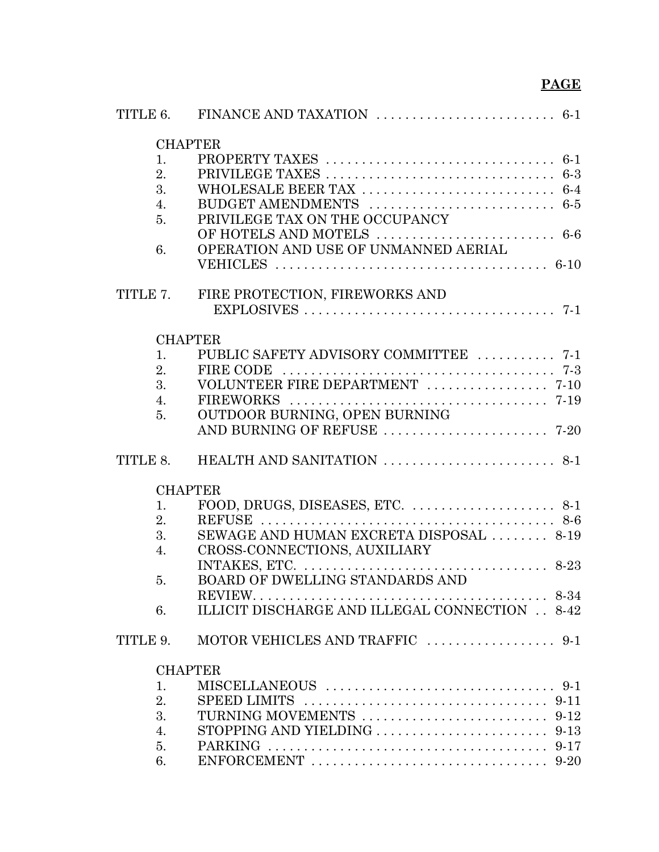| <b>CHAPTER</b>       |                                                                                                 |
|----------------------|-------------------------------------------------------------------------------------------------|
| 1.                   |                                                                                                 |
| 2.                   |                                                                                                 |
| 3.                   |                                                                                                 |
| 4.                   |                                                                                                 |
| 5 <sub>1</sub>       | PRIVILEGE TAX ON THE OCCUPANCY                                                                  |
|                      |                                                                                                 |
| 6.                   | OPERATION AND USE OF UNMANNED AERIAL                                                            |
|                      |                                                                                                 |
| TITLE 7.             | FIRE PROTECTION, FIREWORKS AND                                                                  |
|                      |                                                                                                 |
|                      |                                                                                                 |
| <b>CHAPTER</b><br>1. | PUBLIC SAFETY ADVISORY COMMITTEE  7-1                                                           |
| 2.                   | <b>FIRE CODE</b>                                                                                |
| 3.                   | VOLUNTEER FIRE DEPARTMENT  7-10                                                                 |
| $\overline{4}$ .     |                                                                                                 |
| 5.                   | OUTDOOR BURNING, OPEN BURNING                                                                   |
|                      |                                                                                                 |
| TITLE 8.             |                                                                                                 |
| <b>CHAPTER</b>       |                                                                                                 |
| 1.                   |                                                                                                 |
| 2.                   |                                                                                                 |
| 3.                   | SEWAGE AND HUMAN EXCRETA DISPOSAL  8-19                                                         |
| 4.                   | CROSS-CONNECTIONS, AUXILIARY                                                                    |
|                      |                                                                                                 |
| 5.                   | BOARD OF DWELLING STANDARDS AND                                                                 |
|                      |                                                                                                 |
| 6.                   | ILLICIT DISCHARGE AND ILLEGAL CONNECTION 8-42                                                   |
| TITLE 9.             |                                                                                                 |
| <b>CHAPTER</b>       |                                                                                                 |
| 1.                   |                                                                                                 |
| 2.                   | SPEED LIMITS $\ldots \ldots \ldots \ldots \ldots \ldots \ldots \ldots \ldots \ldots \ldots$     |
| 3.                   |                                                                                                 |
| 4.                   |                                                                                                 |
| 5.                   |                                                                                                 |
| 6.                   | ENFORCEMENT $\ldots \ldots \ldots \ldots \ldots \ldots \ldots \ldots \ldots \ldots \ldots 9-20$ |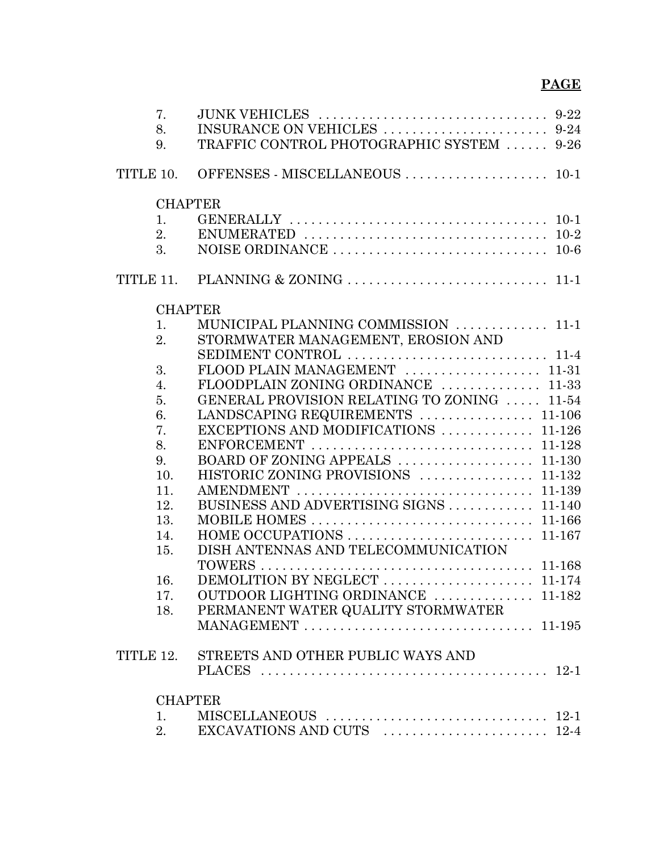| 7.               |                                             |
|------------------|---------------------------------------------|
| 8.               |                                             |
| 9.               | TRAFFIC CONTROL PHOTOGRAPHIC SYSTEM  9-26   |
| TITLE 10.        | OFFENSES - MISCELLANEOUS  10-1              |
|                  | <b>CHAPTER</b>                              |
| $\mathbf{1}$ .   |                                             |
| 2.               |                                             |
| 3.               |                                             |
|                  |                                             |
|                  | <b>CHAPTER</b>                              |
| 1.               | MUNICIPAL PLANNING COMMISSION  11-1         |
| 2.               | STORMWATER MANAGEMENT, EROSION AND          |
|                  |                                             |
| 3.               | FLOOD PLAIN MANAGEMENT  11-31               |
| $\overline{4}$ . | FLOODPLAIN ZONING ORDINANCE  11-33          |
| 5.               | GENERAL PROVISION RELATING TO ZONING  11-54 |
| 6.               | LANDSCAPING REQUIREMENTS  11-106            |
| 7.               | EXCEPTIONS AND MODIFICATIONS  11-126        |
| 8.               |                                             |
| 9.               |                                             |
| 10.              | HISTORIC ZONING PROVISIONS  11-132          |
| 11.              |                                             |
| 12.              | BUSINESS AND ADVERTISING SIGNS  11-140      |
| 13.              |                                             |
| 14.              | HOME OCCUPATIONS<br>11-167                  |
| 15.              | DISH ANTENNAS AND TELECOMMUNICATION         |
|                  |                                             |
| 16.              |                                             |
| 17.              | OUTDOOR LIGHTING ORDINANCE  11-182          |
| 18.              | PERMANENT WATER QUALITY STORMWATER          |
|                  |                                             |
|                  | TITLE 12. STREETS AND OTHER PUBLIC WAYS AND |
|                  |                                             |
|                  | <b>CHAPTER</b>                              |
| 1.               |                                             |
| 2.               |                                             |